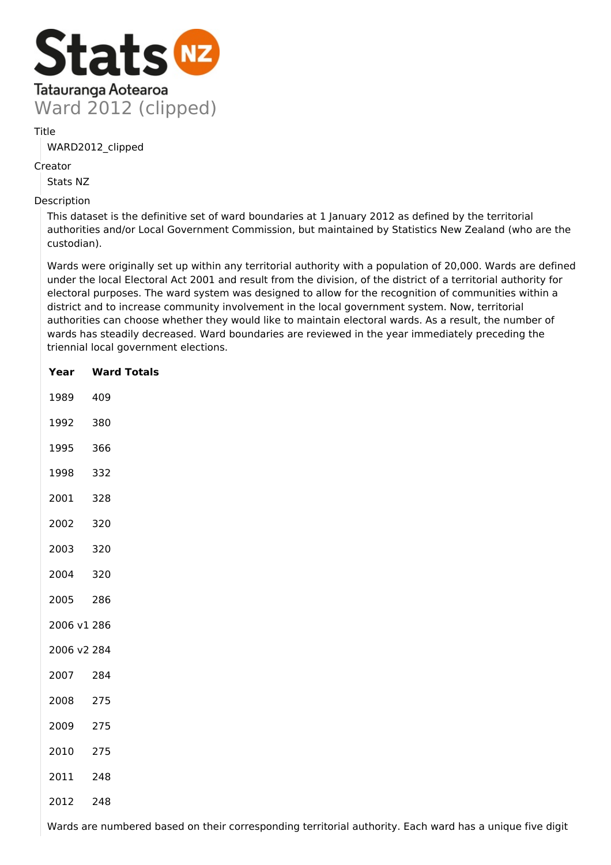

### Title

WARD2012\_clipped

Creator

Stats NZ

### Description

This dataset is the definitive set of ward boundaries at 1 January 2012 as defined by the territorial authorities and/or Local Government Commission, but maintained by Statistics New Zealand (who are the custodian).

Wards were originally set up within any territorial authority with a population of 20,000. Wards are defined under the local Electoral Act 2001 and result from the division, of the district of a territorial authority for electoral purposes. The ward system was designed to allow for the recognition of communities within a district and to increase community involvement in the local government system. Now, territorial authorities can choose whether they would like to maintain electoral wards. As a result, the number of wards has steadily decreased. Ward boundaries are reviewed in the year immediately preceding the triennial local government elections.

| ı ear       |     | waru Tolais |
|-------------|-----|-------------|
| 1989 409    |     |             |
| 1992 380    |     |             |
| 1995 366    |     |             |
| 1998 332    |     |             |
| 2001 328    |     |             |
| 2002        | 320 |             |
| 2003 320    |     |             |
| 2004 320    |     |             |
| 2005 286    |     |             |
| 2006 v1 286 |     |             |
| 2006 v2 284 |     |             |
| 2007 284    |     |             |
| 2008 275    |     |             |
| 2009 275    |     |             |
| 2010 275    |     |             |
| 2011 248    |     |             |
| 2012 248    |     |             |

**Year Ward Totals**

Wards are numbered based on their corresponding territorial authority. Each ward has a unique five digit